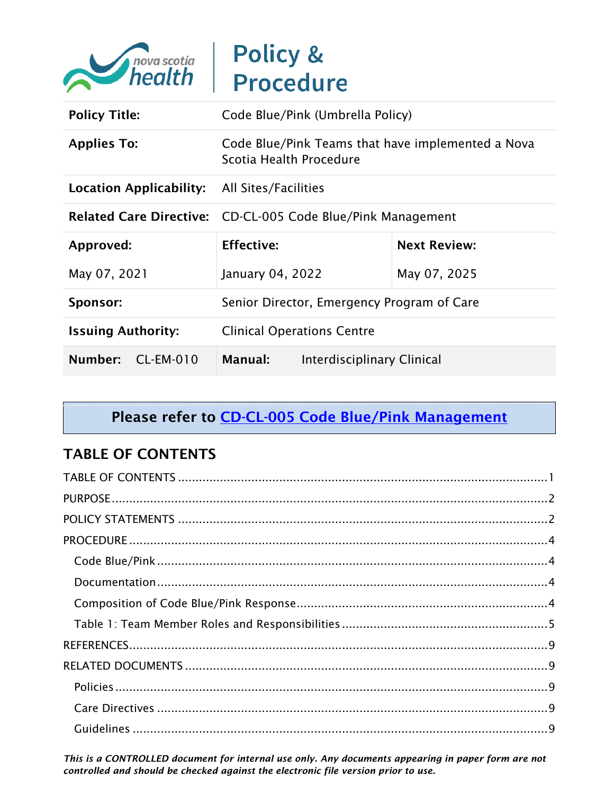

| <b>Policy Title:</b>                                | Code Blue/Pink (Umbrella Policy)                                             |              |
|-----------------------------------------------------|------------------------------------------------------------------------------|--------------|
| <b>Applies To:</b>                                  | Code Blue/Pink Teams that have implemented a Nova<br>Scotia Health Procedure |              |
| <b>Location Applicability:</b> All Sites/Facilities |                                                                              |              |
|                                                     | Related Care Directive: CD-CL-005 Code Blue/Pink Management                  |              |
| Approved:                                           | <b>Effective:</b><br><b>Next Review:</b>                                     |              |
| May 07, 2021                                        | January 04, 2022                                                             | May 07, 2025 |
| Sponsor:                                            | Senior Director, Emergency Program of Care                                   |              |
| <b>Issuing Authority:</b>                           | <b>Clinical Operations Centre</b>                                            |              |
| Number:<br>$CL-EM-010$                              | Manual:<br>Interdisciplinary Clinical                                        |              |

# Please refer to **CD-CL-005 Code Blue/Pink Management**

## <span id="page-0-0"></span>TABLE OF CONTENTS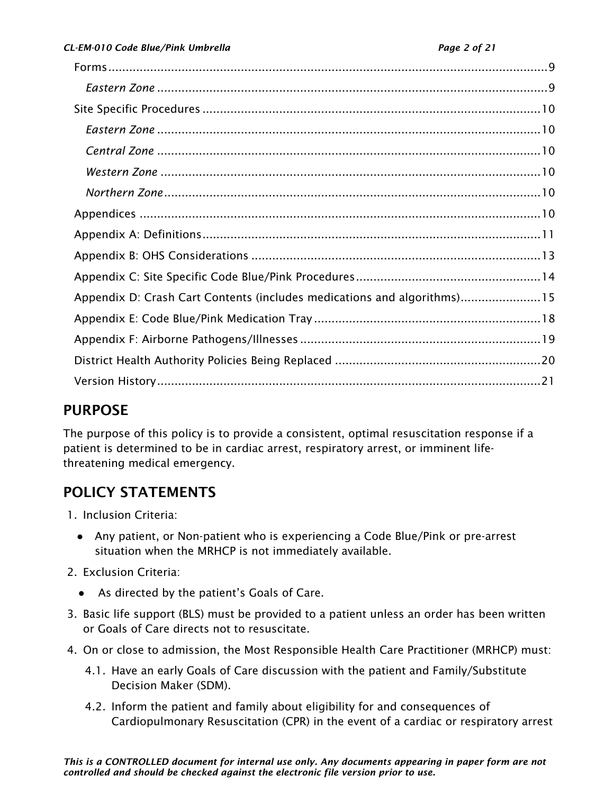| Appendix D: Crash Cart Contents (includes medications and algorithms)15 |  |
|-------------------------------------------------------------------------|--|
|                                                                         |  |
|                                                                         |  |
|                                                                         |  |
|                                                                         |  |
|                                                                         |  |

# <span id="page-1-0"></span>PURPOSE

The purpose of this policy is to provide a consistent, optimal resuscitation response if a patient is determined to be in cardiac arrest, respiratory arrest, or imminent lifethreatening medical emergency.

# <span id="page-1-1"></span>POLICY STATEMENTS

- 1. Inclusion Criteria:
	- Any patient, or Non-patient who is experiencing a Code Blue/Pink or pre-arrest situation when the MRHCP is not immediately available.
- 2. Exclusion Criteria:
	- As directed by the patient's Goals of Care.
- 3. Basic life support (BLS) must be provided to a patient unless an order has been written or Goals of Care directs not to resuscitate.
- 4. On or close to admission, the Most Responsible Health Care Practitioner (MRHCP) must:
	- 4.1. Have an early Goals of Care discussion with the patient and Family/Substitute Decision Maker (SDM).
	- 4.2. Inform the patient and family about eligibility for and consequences of Cardiopulmonary Resuscitation (CPR) in the event of a cardiac or respiratory arrest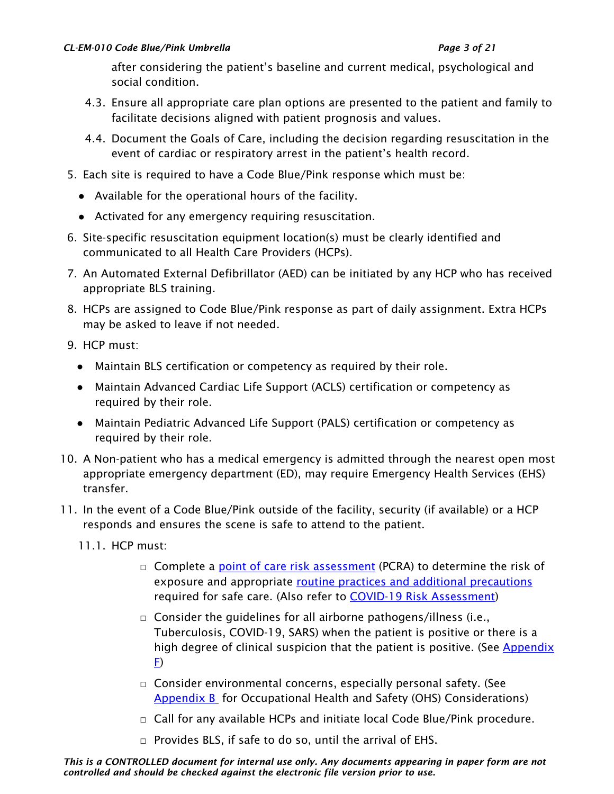#### *CL-EM-010 Code Blue/Pink Umbrella Page 3 of 21*

after considering the patient's baseline and current medical, psychological and social condition.

- 4.3. Ensure all appropriate care plan options are presented to the patient and family to facilitate decisions aligned with patient prognosis and values.
- 4.4. Document the Goals of Care, including the decision regarding resuscitation in the event of cardiac or respiratory arrest in the patient's health record.
- 5. Each site is required to have a Code Blue/Pink response which must be:
	- Available for the operational hours of the facility.
	- Activated for any emergency requiring resuscitation.
- 6. Site-specific resuscitation equipment location(s) must be clearly identified and communicated to all Health Care Providers (HCPs).
- 7. An Automated External Defibrillator (AED) can be initiated by any HCP who has received appropriate BLS training.
- 8. HCPs are assigned to Code Blue/Pink response as part of daily assignment. Extra HCPs may be asked to leave if not needed.
- 9. HCP must:
	- Maintain BLS certification or competency as required by their role.
	- Maintain Advanced Cardiac Life Support (ACLS) certification or competency as required by their role.
	- Maintain Pediatric Advanced Life Support (PALS) certification or competency as required by their role.
- 10. A Non-patient who has a medical emergency is admitted through the nearest open most appropriate emergency department (ED), may require Emergency Health Services (EHS) transfer.
- 11. In the event of a Code Blue/Pink outside of the facility, security (if available) or a HCP responds and ensures the scene is safe to attend to the patient.
	- 11.1. HCP must:
		- □ Complete a [point of care risk assessment](http://policy.nshealth.ca/Site_Published/covid19/document_render.aspx?documentRender.IdType=6&documentRender.GenericField=&documentRender.Id=76565) (PCRA) to determine the risk of exposure and appropriate [routine practices and additional precautions](http://policy.nshealth.ca/Site_Published/NSHA/document_render.aspx?documentRender.IdType=6&documentRender.GenericField=&documentRender.Id=76473) required for safe care. (Also refer to [COVID-19 Risk Assessment\)](http://policy.nshealth.ca/Site_Published/covid19/document_render.aspx?documentRender.IdType=6&documentRender.GenericField=&documentRender.Id=81831)
		- $\Box$  Consider the guidelines for all airborne pathogens/illness (i.e., Tuberculosis, COVID-19, SARS) when the patient is positive or there is a high degree of clinical suspicion that the patient is positive. (See [Appendix](#page-18-0)  [F\)](#page-18-0)
		- □ Consider environmental concerns, especially personal safety. (See [Appendix B](#page-12-0) for Occupational Health and Safety (OHS) Considerations)
		- $\Box$  Call for any available HCPs and initiate local Code Blue/Pink procedure.
		- □ Provides BLS, if safe to do so, until the arrival of EHS.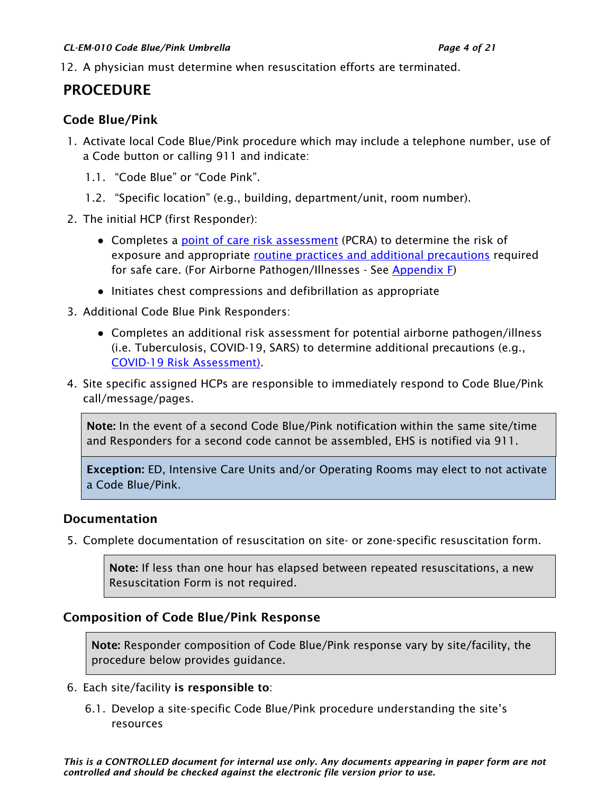#### *CL-EM-010 Code Blue/Pink Umbrella Page 4 of 21*

12. A physician must determine when resuscitation efforts are terminated.

## <span id="page-3-0"></span>PROCEDURE

#### <span id="page-3-1"></span>Code Blue/Pink

- 1. Activate local Code Blue/Pink procedure which may include a telephone number, use of a Code button or calling 911 and indicate:
	- 1.1. "Code Blue" or "Code Pink".
	- 1.2. "Specific location" (e.g., building, department/unit, room number).
- 2. The initial HCP (first Responder):
	- Completes a [point of care risk assessment](http://policy.nshealth.ca/Site_Published/covid19/document_render.aspx?documentRender.IdType=6&documentRender.GenericField=&documentRender.Id=76565) (PCRA) to determine the risk of exposure and appropriate [routine practices and additional precautions](http://policy.nshealth.ca/Site_Published/NSHA/document_render.aspx?documentRender.IdType=6&documentRender.GenericField=&documentRender.Id=76473) required for safe care. (For Airborne Pathogen/Illnesses - See [Appendix F\)](#page-18-0)
	- Initiates chest compressions and defibrillation as appropriate
- 3. Additional Code Blue Pink Responders:
	- Completes an additional risk assessment for potential airborne pathogen/illness (i.e. Tuberculosis, COVID-19, SARS) to determine additional precautions (e.g., [COVID-19 Risk Assessment\)](http://policy.nshealth.ca/Site_Published/covid19/document_render.aspx?documentRender.IdType=6&documentRender.GenericField=&documentRender.Id=81831).
- 4. Site specific assigned HCPs are responsible to immediately respond to Code Blue/Pink call/message/pages.

Note: In the event of a second Code Blue/Pink notification within the same site/time and Responders for a second code cannot be assembled, EHS is notified via 911.

Exception: ED, Intensive Care Units and/or Operating Rooms may elect to not activate a Code Blue/Pink.

#### <span id="page-3-2"></span>Documentation

5. Complete documentation of resuscitation on site- or zone-specific resuscitation form.

Note: If less than one hour has elapsed between repeated resuscitations, a new Resuscitation Form is not required.

#### <span id="page-3-3"></span>Composition of Code Blue/Pink Response

Note: Responder composition of Code Blue/Pink response vary by site/facility, the procedure below provides guidance.

- 6. Each site/facility is responsible to:
	- 6.1. Develop a site-specific Code Blue/Pink procedure understanding the site's resources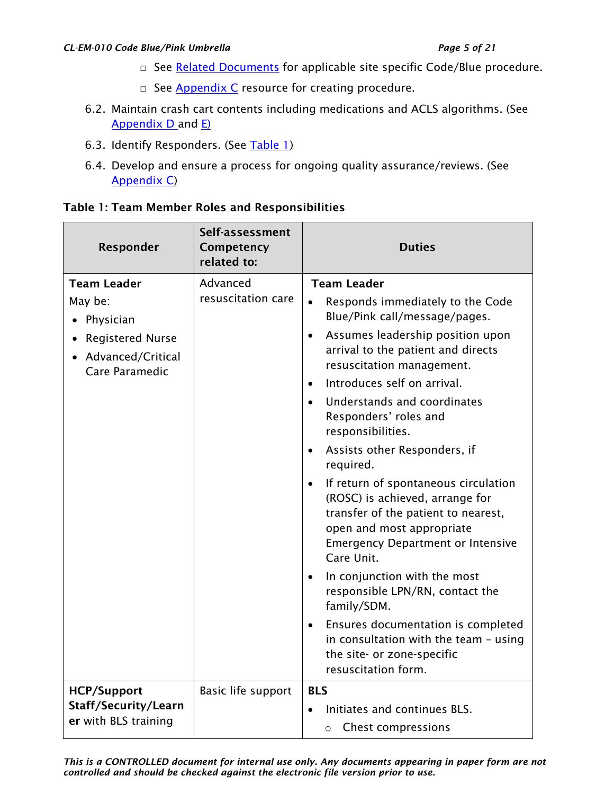#### *CL-EM-010 Code Blue/Pink Umbrella Page 5 of 21*

- □ See [Related Documents](#page-9-0) for applicable site specific Code/Blue procedure.
- $\Box$  See [Appendix C](#page-13-0) resource for creating procedure.
- 6.2. Maintain crash cart contents including medications and ACLS algorithms. (See [Appendix D](#page-14-0) and [E\)](#page-17-0)
- 6.3. Identify Responders. (See [Table 1\)](#page-4-0)
- 6.4. Develop and ensure a process for ongoing quality assurance/reviews. (See [Appendix C\)](#page-13-0)

| Responder                                                                                                      | Self-assessment<br>Competency<br>related to: | <b>Duties</b>                                                                                                                                                                                                                                                                                                                                                                                                                                                                                                                                                                                                                                                                                                                                                                                                                                           |
|----------------------------------------------------------------------------------------------------------------|----------------------------------------------|---------------------------------------------------------------------------------------------------------------------------------------------------------------------------------------------------------------------------------------------------------------------------------------------------------------------------------------------------------------------------------------------------------------------------------------------------------------------------------------------------------------------------------------------------------------------------------------------------------------------------------------------------------------------------------------------------------------------------------------------------------------------------------------------------------------------------------------------------------|
| <b>Team Leader</b><br>May be:<br>Physician<br><b>Registered Nurse</b><br>• Advanced/Critical<br>Care Paramedic | Advanced<br>resuscitation care               | <b>Team Leader</b><br>Responds immediately to the Code<br>Blue/Pink call/message/pages.<br>Assumes leadership position upon<br>$\bullet$<br>arrival to the patient and directs<br>resuscitation management.<br>Introduces self on arrival.<br>$\bullet$<br>Understands and coordinates<br>$\bullet$<br>Responders' roles and<br>responsibilities.<br>Assists other Responders, if<br>$\bullet$<br>required.<br>If return of spontaneous circulation<br>$\bullet$<br>(ROSC) is achieved, arrange for<br>transfer of the patient to nearest,<br>open and most appropriate<br><b>Emergency Department or Intensive</b><br>Care Unit.<br>In conjunction with the most<br>responsible LPN/RN, contact the<br>family/SDM.<br>Ensures documentation is completed<br>in consultation with the team - using<br>the site- or zone-specific<br>resuscitation form. |
| <b>HCP/Support</b><br>Staff/Security/Learn<br>er with BLS training                                             | Basic life support                           | <b>BLS</b><br>Initiates and continues BLS.<br><b>Chest compressions</b><br>$\circ$                                                                                                                                                                                                                                                                                                                                                                                                                                                                                                                                                                                                                                                                                                                                                                      |

#### <span id="page-4-0"></span>Table 1: Team Member Roles and Responsibilities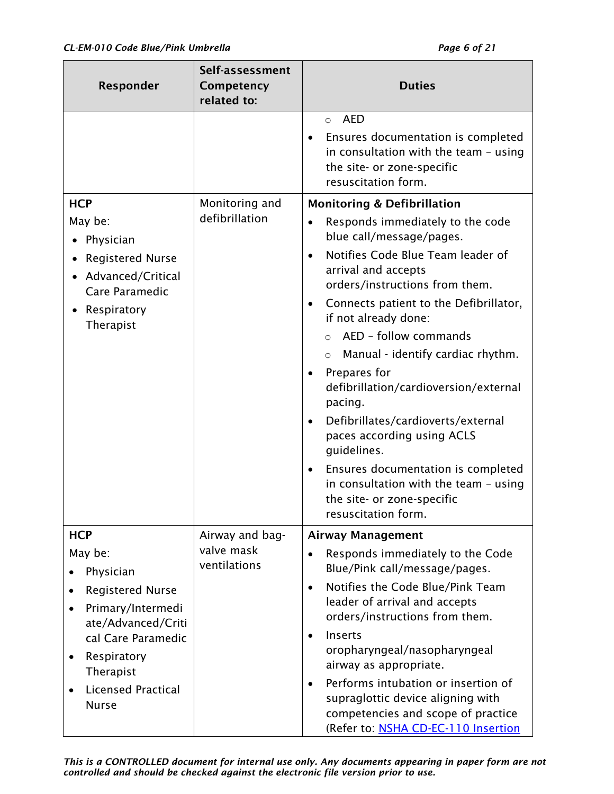| Responder                                                                                                                                                                                                                                                   | Self-assessment<br>Competency<br>related to:  | <b>Duties</b>                                                                                                                                                                                                                                                                                                                                                                                                                                                                                                                                                                                                                                                                |
|-------------------------------------------------------------------------------------------------------------------------------------------------------------------------------------------------------------------------------------------------------------|-----------------------------------------------|------------------------------------------------------------------------------------------------------------------------------------------------------------------------------------------------------------------------------------------------------------------------------------------------------------------------------------------------------------------------------------------------------------------------------------------------------------------------------------------------------------------------------------------------------------------------------------------------------------------------------------------------------------------------------|
|                                                                                                                                                                                                                                                             |                                               | <b>AED</b><br>$\circ$<br>Ensures documentation is completed<br>in consultation with the team - using<br>the site- or zone-specific<br>resuscitation form.                                                                                                                                                                                                                                                                                                                                                                                                                                                                                                                    |
| <b>HCP</b><br>May be:<br>Physician<br><b>Registered Nurse</b><br>• Advanced/Critical<br>Care Paramedic<br>Respiratory<br>Therapist                                                                                                                          | Monitoring and<br>defibrillation              | <b>Monitoring &amp; Defibrillation</b><br>Responds immediately to the code<br>blue call/message/pages.<br>Notifies Code Blue Team leader of<br>arrival and accepts<br>orders/instructions from them.<br>Connects patient to the Defibrillator,<br>if not already done:<br>AED - follow commands<br>$\circ$<br>Manual - identify cardiac rhythm.<br>$\circ$<br>Prepares for<br>$\bullet$<br>defibrillation/cardioversion/external<br>pacing.<br>Defibrillates/cardioverts/external<br>٠<br>paces according using ACLS<br>guidelines.<br>Ensures documentation is completed<br>٠<br>in consultation with the team - using<br>the site- or zone-specific<br>resuscitation form. |
| <b>HCP</b><br>May be:<br>Physician<br><b>Registered Nurse</b><br>$\bullet$<br>Primary/Intermedi<br>$\bullet$<br>ate/Advanced/Criti<br>cal Care Paramedic<br>Respiratory<br>$\bullet$<br>Therapist<br><b>Licensed Practical</b><br>$\bullet$<br><b>Nurse</b> | Airway and bag-<br>valve mask<br>ventilations | <b>Airway Management</b><br>Responds immediately to the Code<br>Blue/Pink call/message/pages.<br>Notifies the Code Blue/Pink Team<br>$\bullet$<br>leader of arrival and accepts<br>orders/instructions from them.<br>Inserts<br>oropharyngeal/nasopharyngeal<br>airway as appropriate.<br>Performs intubation or insertion of<br>supraglottic device aligning with<br>competencies and scope of practice<br>(Refer to: NSHA CD-EC-110 Insertion                                                                                                                                                                                                                              |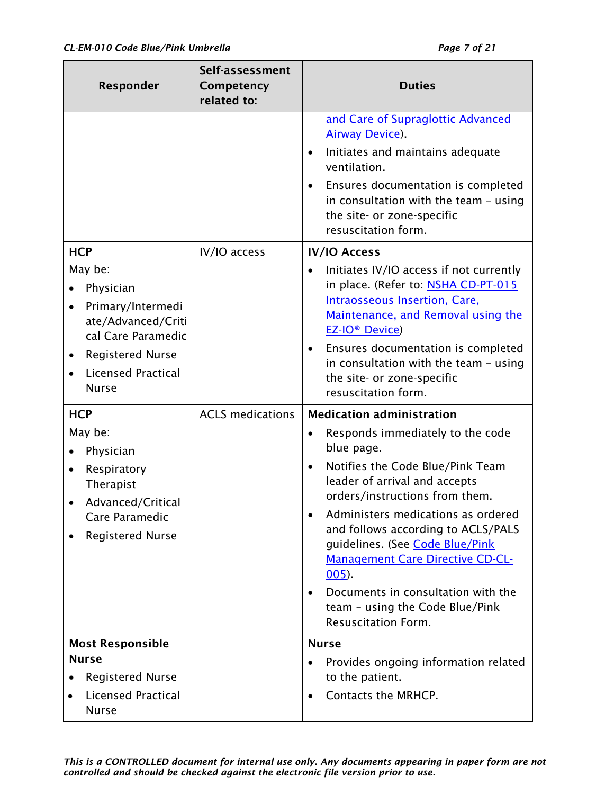| Responder                                                                                                                                                                   | Self-assessment<br>Competency<br>related to: | <b>Duties</b>                                                                                                                                                                                                                                                                                                                                                                                                                                                                                                 |
|-----------------------------------------------------------------------------------------------------------------------------------------------------------------------------|----------------------------------------------|---------------------------------------------------------------------------------------------------------------------------------------------------------------------------------------------------------------------------------------------------------------------------------------------------------------------------------------------------------------------------------------------------------------------------------------------------------------------------------------------------------------|
|                                                                                                                                                                             |                                              | and Care of Supraglottic Advanced<br><b>Airway Device).</b><br>Initiates and maintains adequate<br>$\bullet$<br>ventilation.<br>Ensures documentation is completed<br>$\bullet$<br>in consultation with the team - using<br>the site- or zone-specific<br>resuscitation form.                                                                                                                                                                                                                                 |
| <b>HCP</b><br>May be:<br>Physician<br>Primary/Intermedi<br>ate/Advanced/Criti<br>cal Care Paramedic<br><b>Registered Nurse</b><br><b>Licensed Practical</b><br><b>Nurse</b> | IV/IO access                                 | <b>IV/IO Access</b><br>Initiates IV/IO access if not currently<br>$\bullet$<br>in place. (Refer to: NSHA CD-PT-015<br><b>Intraosseous Insertion, Care,</b><br>Maintenance, and Removal using the<br><b>EZ-IO<sup>®</sup> Device</b> )<br>Ensures documentation is completed<br>٠<br>in consultation with the team - using<br>the site- or zone-specific<br>resuscitation form.                                                                                                                                |
| <b>HCP</b><br>May be:<br>Physician<br>Respiratory<br>$\bullet$<br>Therapist<br>Advanced/Critical<br>Care Paramedic<br><b>Registered Nurse</b>                               | <b>ACLS</b> medications                      | <b>Medication administration</b><br>Responds immediately to the code<br>$\bullet$<br>blue page.<br>Notifies the Code Blue/Pink Team<br>$\bullet$<br>leader of arrival and accepts<br>orders/instructions from them.<br>Administers medications as ordered<br>and follows according to ACLS/PALS<br>guidelines. (See Code Blue/Pink<br><b>Management Care Directive CD-CL-</b><br>$005$ ).<br>Documents in consultation with the<br>$\bullet$<br>team - using the Code Blue/Pink<br><b>Resuscitation Form.</b> |
| <b>Most Responsible</b><br><b>Nurse</b><br><b>Registered Nurse</b><br><b>Licensed Practical</b><br><b>Nurse</b>                                                             |                                              | <b>Nurse</b><br>Provides ongoing information related<br>to the patient.<br>Contacts the MRHCP.                                                                                                                                                                                                                                                                                                                                                                                                                |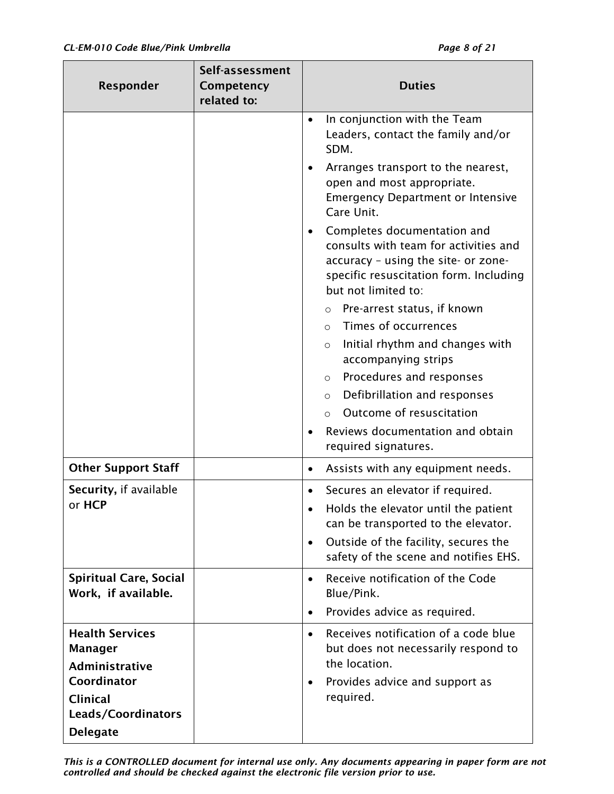| Responder                                            | Self-assessment<br>Competency<br>related to: | <b>Duties</b>                                                                                                                                                                |
|------------------------------------------------------|----------------------------------------------|------------------------------------------------------------------------------------------------------------------------------------------------------------------------------|
|                                                      |                                              | In conjunction with the Team<br>$\bullet$<br>Leaders, contact the family and/or<br>SDM.                                                                                      |
|                                                      |                                              | Arranges transport to the nearest,<br>open and most appropriate.<br><b>Emergency Department or Intensive</b><br>Care Unit.                                                   |
|                                                      |                                              | Completes documentation and<br>consults with team for activities and<br>accuracy - using the site- or zone-<br>specific resuscitation form. Including<br>but not limited to: |
|                                                      |                                              | Pre-arrest status, if known<br>$\circ$                                                                                                                                       |
|                                                      |                                              | Times of occurrences<br>$\circ$                                                                                                                                              |
|                                                      |                                              | Initial rhythm and changes with<br>$\circ$<br>accompanying strips                                                                                                            |
|                                                      |                                              | Procedures and responses<br>$\circ$                                                                                                                                          |
|                                                      |                                              | Defibrillation and responses<br>$\circ$                                                                                                                                      |
|                                                      |                                              | Outcome of resuscitation<br>$\Omega$                                                                                                                                         |
|                                                      |                                              | Reviews documentation and obtain<br>required signatures.                                                                                                                     |
| <b>Other Support Staff</b>                           |                                              | Assists with any equipment needs.                                                                                                                                            |
| Security, if available                               |                                              | Secures an elevator if required.                                                                                                                                             |
| or HCP                                               |                                              | Holds the elevator until the patient<br>can be transported to the elevator.                                                                                                  |
|                                                      |                                              | Outside of the facility, secures the<br>$\bullet$<br>safety of the scene and notifies EHS.                                                                                   |
| <b>Spiritual Care, Social</b><br>Work, if available. |                                              | Receive notification of the Code<br>$\bullet$<br>Blue/Pink.                                                                                                                  |
|                                                      |                                              | Provides advice as required.<br>$\bullet$                                                                                                                                    |
| <b>Health Services</b><br>Manager<br>Administrative  |                                              | Receives notification of a code blue<br>$\bullet$<br>but does not necessarily respond to<br>the location.                                                                    |
| Coordinator<br><b>Clinical</b><br>Leads/Coordinators |                                              | Provides advice and support as<br>required.                                                                                                                                  |
| <b>Delegate</b>                                      |                                              |                                                                                                                                                                              |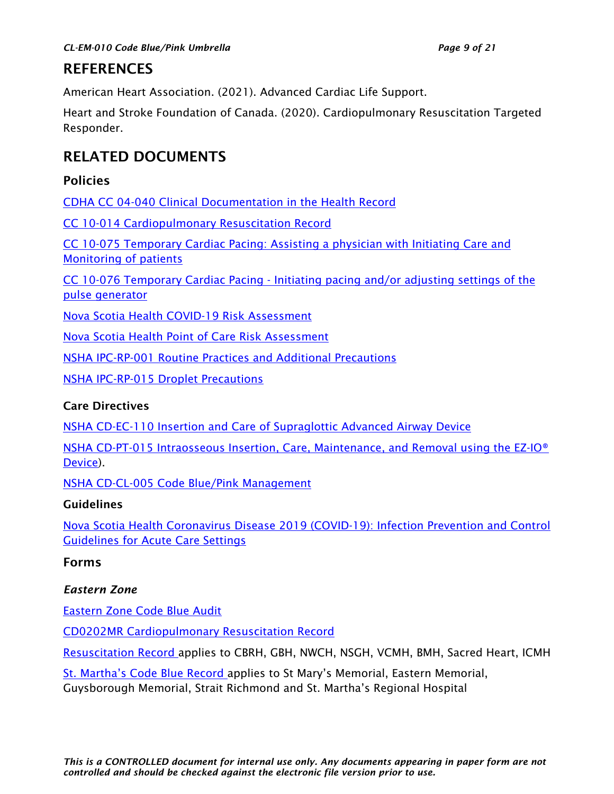## <span id="page-8-0"></span>**REFERENCES**

American Heart Association. (2021). Advanced Cardiac Life Support.

Heart and Stroke Foundation of Canada. (2020). Cardiopulmonary Resuscitation Targeted Responder.

## <span id="page-8-1"></span>RELATED DOCUMENTS

### <span id="page-8-2"></span>Policies

[CDHA CC 04-040 Clinical Documentation in the Health Record](http://policy.nshealth.ca/Site_Published/dha9/document_render.aspx?documentRender.IdType=6&documentRender.GenericField=&documentRender.Id=66968)

[CC 10-014 Cardiopulmonary Resuscitation Record](http://policy.nshealth.ca/Site_Published/dha9/document_render.aspx?documentRender.IdType=6&documentRender.GenericField=&documentRender.Id=31689)

[CC 10-075 Temporary Cardiac Pacing: Assisting a physician with Initiating Care and](http://policy.nshealth.ca/Site_Published/dha9/document_render.aspx?documentRender.IdType=6&documentRender.GenericField=&documentRender.Id=52112)  [Monitoring of patients](http://policy.nshealth.ca/Site_Published/dha9/document_render.aspx?documentRender.IdType=6&documentRender.GenericField=&documentRender.Id=52112)

CC 10-076 Temporary Cardiac Pacing - [Initiating pacing and/or adjusting settings of the](http://policy.nshealth.ca/Site_Published/dha9/document_render.aspx?documentRender.IdType=6&documentRender.GenericField=&documentRender.Id=52114)  [pulse generator](http://policy.nshealth.ca/Site_Published/dha9/document_render.aspx?documentRender.IdType=6&documentRender.GenericField=&documentRender.Id=52114)

[Nova Scotia Health COVID-19 Risk Assessment](http://policy.nshealth.ca/Site_Published/covid19/document_render.aspx?documentRender.IdType=6&documentRender.GenericField=&documentRender.Id=81831) 

[Nova Scotia Health Point of Care Risk Assessment](http://policy.nshealth.ca/Site_Published/covid19/document_render.aspx?documentRender.IdType=6&documentRender.GenericField=&documentRender.Id=76565) 

[NSHA IPC-RP-001 Routine Practices and Additional Precautions](http://policy.nshealth.ca/Site_Published/NSHA/document_render.aspx?documentRender.IdType=6&documentRender.GenericField=&documentRender.Id=76473) 

[NSHA IPC-RP-015 Droplet Precautions](http://policy.nshealth.ca/Site_Published/NSHA/document_render.aspx?documentRender.IdType=6&documentRender.GenericField=&documentRender.Id=77817)

#### <span id="page-8-3"></span>Care Directives

[NSHA CD-EC-110 Insertion and Care of Supraglottic Advanced Airway Device](http://policy.nshealth.ca/Site_Published/NSHA/document_render.aspx?documentRender.IdType=6&documentRender.GenericField=&documentRender.Id=84849)

[NSHA CD-PT-015 Intraosseous Insertion, Care, Maintenance, and Removal using the EZ-IO®](http://policy.nshealth.ca/Site_Published/NSHA/document_render.aspx?documentRender.IdType=6&documentRender.GenericField=&documentRender.Id=72095) [Device\)](http://policy.nshealth.ca/Site_Published/NSHA/document_render.aspx?documentRender.IdType=6&documentRender.GenericField=&documentRender.Id=72095).

[NSHA CD-CL-005 Code Blue/Pink Management](http://policy.nshealth.ca/Site_Published/nsha/document_render.aspx?documentRender.IdType=6&documentRender.GenericField=&documentRender.Id=86560)

#### <span id="page-8-4"></span>Guidelines

[Nova Scotia Health Coronavirus Disease 2019 \(COVID-19\): Infection Prevention and Control](http://policy.nshealth.ca/Site_Published/covid19/document_render.aspx?documentRender.IdType=6&documentRender.GenericField=&documentRender.Id=84510)  [Guidelines for Acute Care Settings](http://policy.nshealth.ca/Site_Published/covid19/document_render.aspx?documentRender.IdType=6&documentRender.GenericField=&documentRender.Id=84510)

#### <span id="page-8-5"></span>Forms

#### <span id="page-8-6"></span>*Eastern Zone*

[Eastern Zone Code Blue Audit](http://policy.nshealth.ca/Site_Published/nsha/document_render.aspx?documentRender.IdType=5&documentRender.GenericField=&documentRender.Id=86566) 

[CD0202MR Cardiopulmonary Resuscitation Record](http://healthforms.cdha.nshealth.ca/sites/default/files/CD0202MR_0.pdf)

[Resuscitation Record](http://dc-sv-efrns/EFRPreview/CB_NSGRERE.PDF) applies to CBRH, GBH, NWCH, NSGH, VCMH, BMH, Sacred Heart, ICMH

[St. Martha's Code Blue Record](http://dc-sv-efrns/EFRPreview/GA_NUCOBLRE.pdf) applies to St Mary's Memorial, Eastern Memorial, Guysborough Memorial, Strait Richmond and St. Martha's Regional Hospital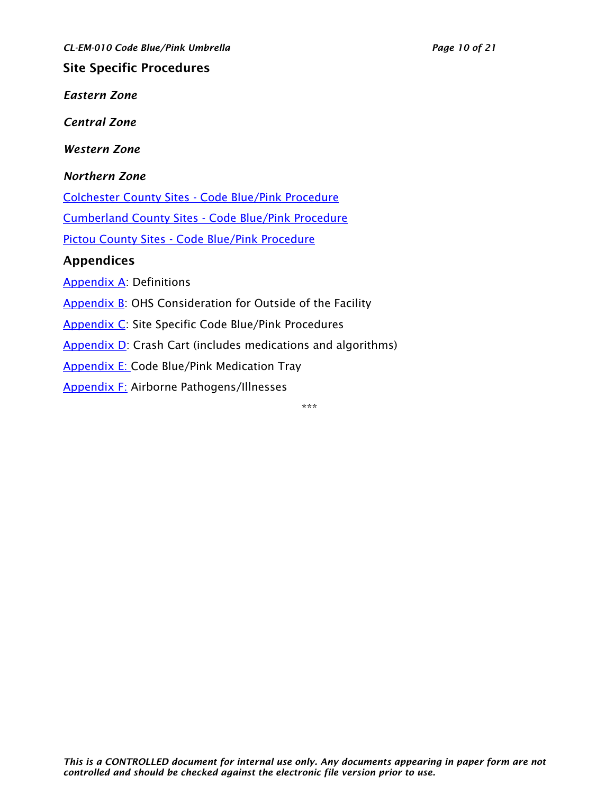*CL-EM-010 Code Blue/Pink Umbrella Page 10 of 21*

<span id="page-9-0"></span>Site Specific Procedures

<span id="page-9-1"></span>*Eastern Zone*

<span id="page-9-2"></span>*Central Zone*

<span id="page-9-3"></span>*Western Zone*

#### <span id="page-9-4"></span>*Northern Zone*

Colchester County Sites - [Code Blue/Pink Procedure](http://policy.nshealth.ca/Site_Published/nsha/document_render.aspx?documentRender.IdType=6&documentRender.GenericField=&documentRender.Id=93448)

[Cumberland County Sites -](http://policy.nshealth.ca/Site_Published/nsha/document_render.aspx?documentRender.IdType=6&documentRender.GenericField=&documentRender.Id=93450) Code Blue/Pink Procedure

Pictou County Sites - [Code Blue/Pink Procedure](http://policy.nshealth.ca/Site_Published/nsha/document_render.aspx?documentRender.IdType=6&documentRender.GenericField=&documentRender.Id=93447)

### <span id="page-9-5"></span>Appendices

[Appendix A:](#page-10-0) Definitions

[Appendix B:](#page-13-0) OHS Consideration for Outside of the Facility

[Appendix C:](#page-13-0) Site Specific Code Blue/Pink Procedures

[Appendix D:](#page-14-0) Crash Cart (includes medications and algorithms)

[Appendix E: C](#page-17-0)ode Blue/Pink Medication Tray

[Appendix F:](#page-18-0) Airborne Pathogens/Illnesses

\*\*\*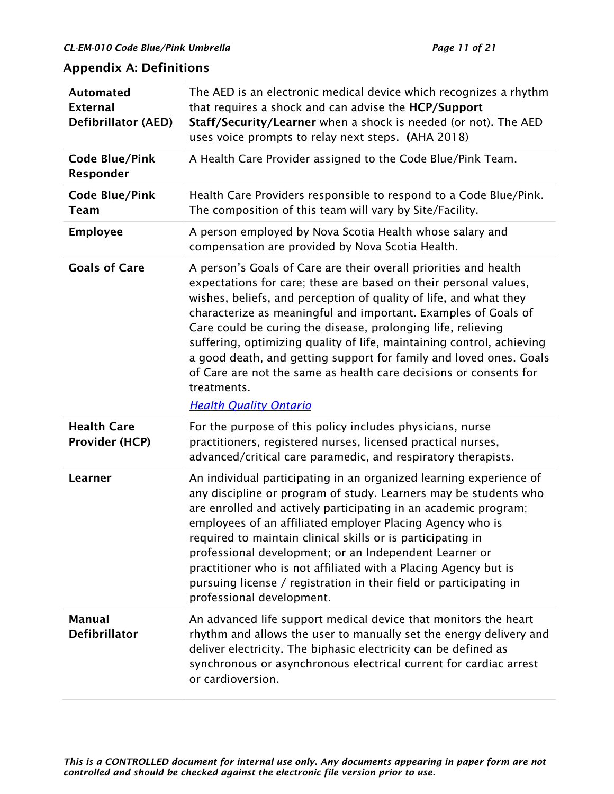## <span id="page-10-0"></span>Appendix A: Definitions

| <b>Automated</b><br><b>External</b><br><b>Defibrillator (AED)</b> | The AED is an electronic medical device which recognizes a rhythm<br>that requires a shock and can advise the HCP/Support<br>Staff/Security/Learner when a shock is needed (or not). The AED<br>uses voice prompts to relay next steps. (AHA 2018)                                                                                                                                                                                                                                                                                                                             |
|-------------------------------------------------------------------|--------------------------------------------------------------------------------------------------------------------------------------------------------------------------------------------------------------------------------------------------------------------------------------------------------------------------------------------------------------------------------------------------------------------------------------------------------------------------------------------------------------------------------------------------------------------------------|
| <b>Code Blue/Pink</b><br>Responder                                | A Health Care Provider assigned to the Code Blue/Pink Team.                                                                                                                                                                                                                                                                                                                                                                                                                                                                                                                    |
| <b>Code Blue/Pink</b><br><b>Team</b>                              | Health Care Providers responsible to respond to a Code Blue/Pink.<br>The composition of this team will vary by Site/Facility.                                                                                                                                                                                                                                                                                                                                                                                                                                                  |
| <b>Employee</b>                                                   | A person employed by Nova Scotia Health whose salary and<br>compensation are provided by Nova Scotia Health.                                                                                                                                                                                                                                                                                                                                                                                                                                                                   |
| <b>Goals of Care</b>                                              | A person's Goals of Care are their overall priorities and health<br>expectations for care; these are based on their personal values,<br>wishes, beliefs, and perception of quality of life, and what they<br>characterize as meaningful and important. Examples of Goals of<br>Care could be curing the disease, prolonging life, relieving<br>suffering, optimizing quality of life, maintaining control, achieving<br>a good death, and getting support for family and loved ones. Goals<br>of Care are not the same as health care decisions or consents for<br>treatments. |
|                                                                   | <b>Health Quality Ontario</b>                                                                                                                                                                                                                                                                                                                                                                                                                                                                                                                                                  |
| <b>Health Care</b><br><b>Provider (HCP)</b>                       | For the purpose of this policy includes physicians, nurse<br>practitioners, registered nurses, licensed practical nurses,<br>advanced/critical care paramedic, and respiratory therapists.                                                                                                                                                                                                                                                                                                                                                                                     |
| Learner                                                           | An individual participating in an organized learning experience of<br>any discipline or program of study. Learners may be students who<br>are enrolled and actively participating in an academic program;<br>employees of an affiliated employer Placing Agency who is<br>required to maintain clinical skills or is participating in<br>professional development; or an Independent Learner or<br>practitioner who is not affiliated with a Placing Agency but is<br>pursuing license / registration in their field or participating in<br>professional development.          |
| <b>Manual</b><br><b>Defibrillator</b>                             | An advanced life support medical device that monitors the heart<br>rhythm and allows the user to manually set the energy delivery and<br>deliver electricity. The biphasic electricity can be defined as<br>synchronous or asynchronous electrical current for cardiac arrest<br>or cardioversion.                                                                                                                                                                                                                                                                             |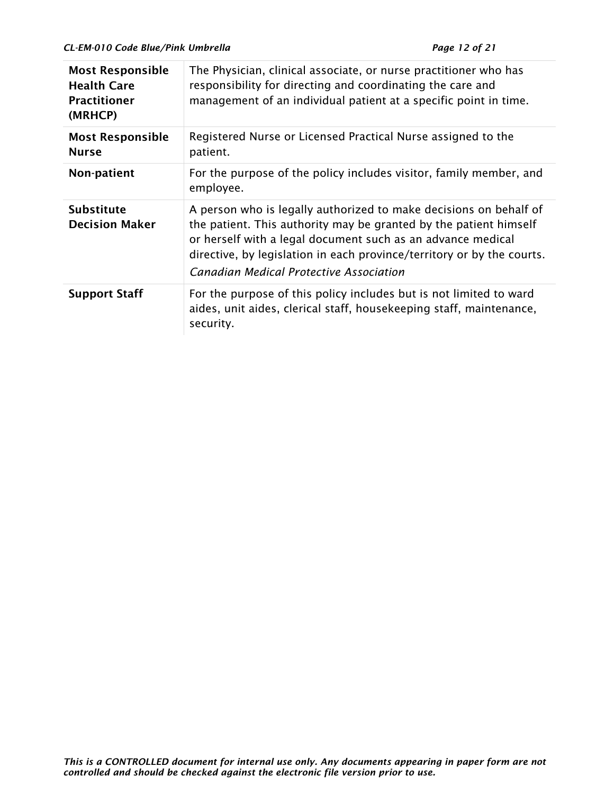| <b>Most Responsible</b><br><b>Health Care</b><br><b>Practitioner</b><br>(MRHCP) | The Physician, clinical associate, or nurse practitioner who has<br>responsibility for directing and coordinating the care and<br>management of an individual patient at a specific point in time.                                                                                                                         |
|---------------------------------------------------------------------------------|----------------------------------------------------------------------------------------------------------------------------------------------------------------------------------------------------------------------------------------------------------------------------------------------------------------------------|
| <b>Most Responsible</b><br><b>Nurse</b>                                         | Registered Nurse or Licensed Practical Nurse assigned to the<br>patient.                                                                                                                                                                                                                                                   |
| Non-patient                                                                     | For the purpose of the policy includes visitor, family member, and<br>employee.                                                                                                                                                                                                                                            |
| <b>Substitute</b><br><b>Decision Maker</b>                                      | A person who is legally authorized to make decisions on behalf of<br>the patient. This authority may be granted by the patient himself<br>or herself with a legal document such as an advance medical<br>directive, by legislation in each province/territory or by the courts.<br>Canadian Medical Protective Association |
| <b>Support Staff</b>                                                            | For the purpose of this policy includes but is not limited to ward<br>aides, unit aides, clerical staff, housekeeping staff, maintenance,<br>security.                                                                                                                                                                     |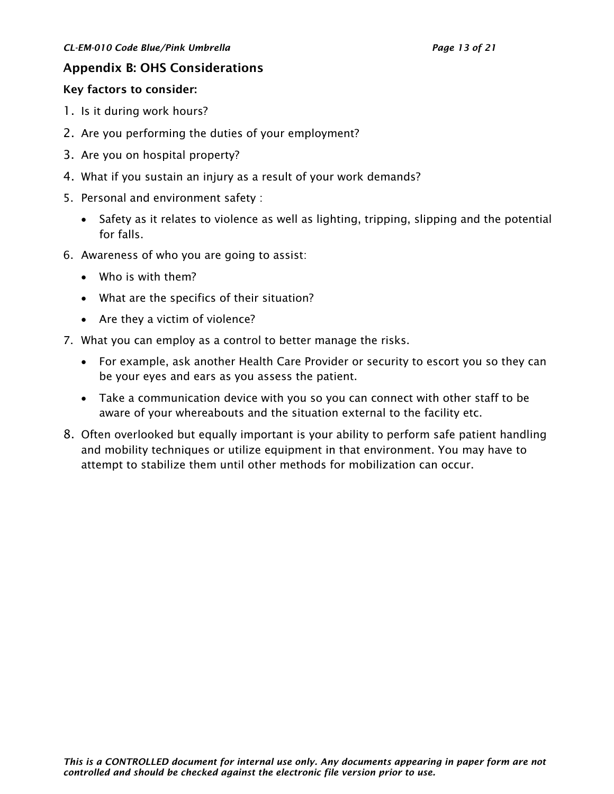#### <span id="page-12-0"></span>Appendix B: OHS Considerations

#### Key factors to consider:

- 1. Is it during work hours?
- 2. Are you performing the duties of your employment?
- 3. Are you on hospital property?
- 4. What if you sustain an injury as a result of your work demands?
- 5. Personal and environment safety :
	- Safety as it relates to violence as well as lighting, tripping, slipping and the potential for falls.
- 6. Awareness of who you are going to assist:
	- Who is with them?
	- What are the specifics of their situation?
	- Are they a victim of violence?
- 7. What you can employ as a control to better manage the risks.
	- For example, ask another Health Care Provider or security to escort you so they can be your eyes and ears as you assess the patient.
	- Take a communication device with you so you can connect with other staff to be aware of your whereabouts and the situation external to the facility etc.
- 8. Often overlooked but equally important is your ability to perform safe patient handling and mobility techniques or utilize equipment in that environment. You may have to attempt to stabilize them until other methods for mobilization can occur.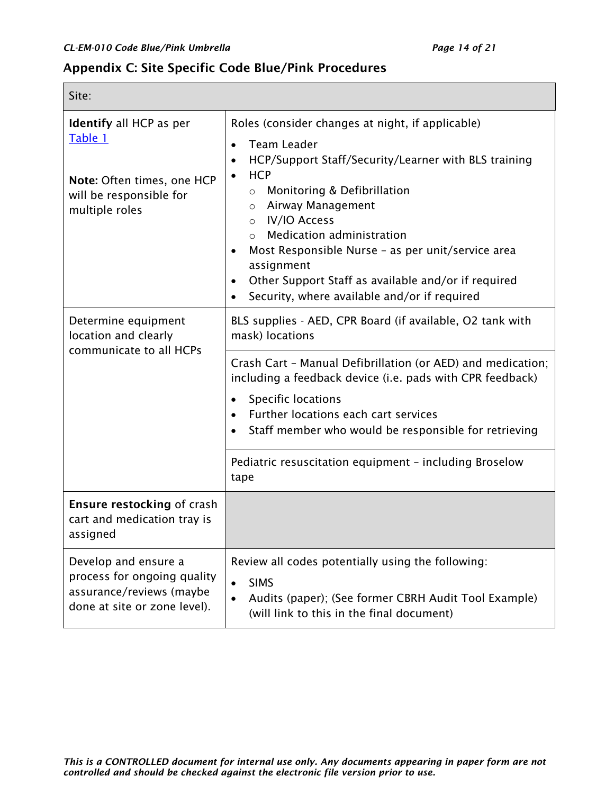$\Box$ 

┓

### <span id="page-13-0"></span>Appendix C: Site Specific Code Blue/Pink Procedures

| Site:                                                                                                                |                                                                                                                                                                                                                                                                                                                                                                                                                                                                                                       |  |
|----------------------------------------------------------------------------------------------------------------------|-------------------------------------------------------------------------------------------------------------------------------------------------------------------------------------------------------------------------------------------------------------------------------------------------------------------------------------------------------------------------------------------------------------------------------------------------------------------------------------------------------|--|
| <b>Identify all HCP as per</b><br>Table 1<br>Note: Often times, one HCP<br>will be responsible for<br>multiple roles | Roles (consider changes at night, if applicable)<br><b>Team Leader</b><br>$\bullet$<br>HCP/Support Staff/Security/Learner with BLS training<br>$\bullet$<br><b>HCP</b><br>$\bullet$<br>Monitoring & Defibrillation<br>$\circ$<br>o Airway Management<br>o IV/IO Access<br>Medication administration<br>$\circ$<br>Most Responsible Nurse - as per unit/service area<br>assignment<br>Other Support Staff as available and/or if required<br>$\bullet$<br>Security, where available and/or if required |  |
| Determine equipment<br>location and clearly<br>communicate to all HCPs                                               | BLS supplies - AED, CPR Board (if available, O2 tank with<br>mask) locations                                                                                                                                                                                                                                                                                                                                                                                                                          |  |
|                                                                                                                      | Crash Cart - Manual Defibrillation (or AED) and medication;<br>including a feedback device (i.e. pads with CPR feedback)<br>Specific locations<br>$\bullet$<br>Further locations each cart services<br>$\bullet$<br>Staff member who would be responsible for retrieving<br>$\bullet$                                                                                                                                                                                                                 |  |
|                                                                                                                      | Pediatric resuscitation equipment - including Broselow<br>tape                                                                                                                                                                                                                                                                                                                                                                                                                                        |  |
| <b>Ensure restocking of crash</b><br>cart and medication tray is<br>assigned                                         |                                                                                                                                                                                                                                                                                                                                                                                                                                                                                                       |  |
| Develop and ensure a<br>process for ongoing quality<br>assurance/reviews (maybe<br>done at site or zone level).      | Review all codes potentially using the following:<br><b>SIMS</b><br>$\bullet$<br>Audits (paper); (See former CBRH Audit Tool Example)<br>(will link to this in the final document)                                                                                                                                                                                                                                                                                                                    |  |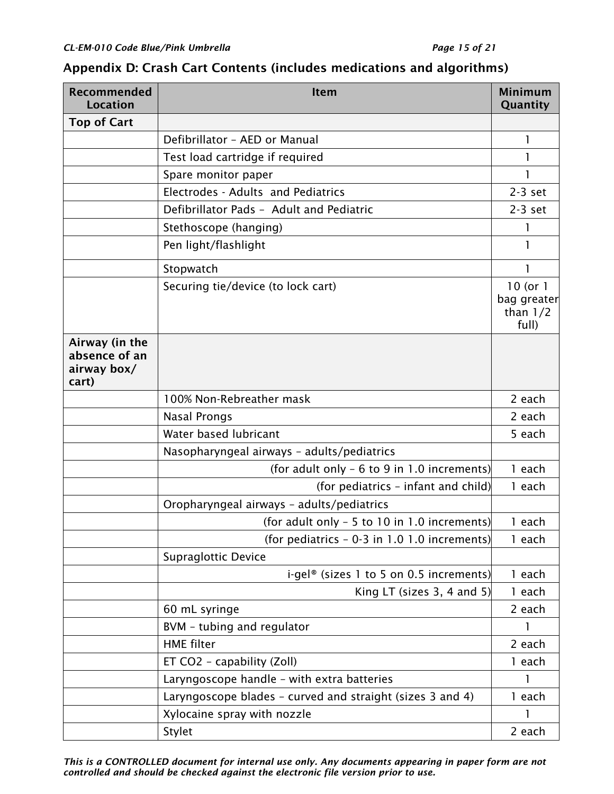| Recommended<br><b>Location</b>                          | <b>Item</b>                                               | <b>Minimum</b><br>Quantity                         |
|---------------------------------------------------------|-----------------------------------------------------------|----------------------------------------------------|
| <b>Top of Cart</b>                                      |                                                           |                                                    |
|                                                         | Defibrillator - AED or Manual                             | 1                                                  |
|                                                         | Test load cartridge if required                           | 1                                                  |
|                                                         | Spare monitor paper                                       | 1                                                  |
|                                                         | Electrodes - Adults and Pediatrics                        | $2-3$ set                                          |
|                                                         | Defibrillator Pads - Adult and Pediatric                  | $2-3$ set                                          |
|                                                         | Stethoscope (hanging)                                     | 1                                                  |
|                                                         | Pen light/flashlight                                      | 1                                                  |
|                                                         | Stopwatch                                                 | 1                                                  |
|                                                         | Securing tie/device (to lock cart)                        | $10$ (or $1$<br>bag greater<br>than $1/2$<br>full) |
| Airway (in the<br>absence of an<br>airway box/<br>cart) |                                                           |                                                    |
|                                                         | 100% Non-Rebreather mask                                  | 2 each                                             |
|                                                         | <b>Nasal Prongs</b>                                       | 2 each                                             |
|                                                         | Water based lubricant                                     | 5 each                                             |
|                                                         | Nasopharyngeal airways - adults/pediatrics                |                                                    |
|                                                         | (for adult only - 6 to 9 in 1.0 increments)               | 1 each                                             |
|                                                         | (for pediatrics - infant and child)                       | 1 each                                             |
|                                                         | Oropharyngeal airways - adults/pediatrics                 |                                                    |
|                                                         | (for adult only - 5 to 10 in 1.0 increments)              | 1 each                                             |
|                                                         | (for pediatrics $-0.3$ in 1.0 1.0 increments)             | 1 each                                             |
|                                                         | <b>Supraglottic Device</b>                                |                                                    |
|                                                         | i-gel <sup>®</sup> (sizes 1 to 5 on 0.5 increments)       | 1 each                                             |
|                                                         | King LT (sizes $3, 4$ and $5$ )                           | 1 each                                             |
|                                                         | 60 mL syringe                                             | 2 each                                             |
|                                                         | BVM - tubing and regulator                                | 1                                                  |
|                                                         | <b>HME</b> filter                                         | 2 each                                             |
|                                                         | ET CO2 - capability (Zoll)                                | 1 each                                             |
|                                                         | Laryngoscope handle - with extra batteries                | 1                                                  |
|                                                         | Laryngoscope blades - curved and straight (sizes 3 and 4) | 1 each                                             |
|                                                         | Xylocaine spray with nozzle                               | 1                                                  |
|                                                         | Stylet                                                    | 2 each                                             |

### <span id="page-14-0"></span>Appendix D: Crash Cart Contents (includes medications and algorithms)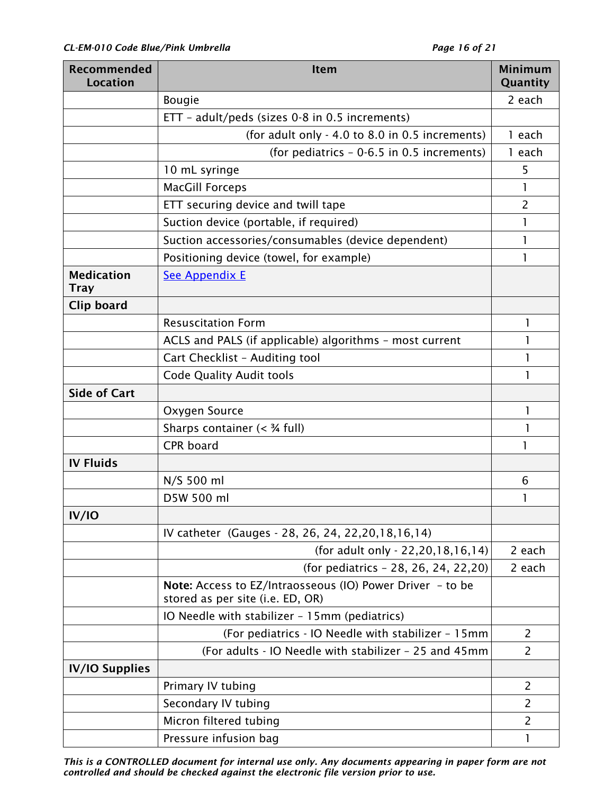| Recommended<br><b>Location</b>   | Item                                                                                          | <b>Minimum</b><br>Quantity |
|----------------------------------|-----------------------------------------------------------------------------------------------|----------------------------|
|                                  | <b>Bougie</b>                                                                                 | 2 each                     |
|                                  | ETT - adult/peds (sizes 0-8 in 0.5 increments)                                                |                            |
|                                  | (for adult only - 4.0 to 8.0 in 0.5 increments)                                               | 1 each                     |
|                                  | (for pediatrics - 0-6.5 in 0.5 increments)                                                    | 1 each                     |
|                                  | 10 mL syringe                                                                                 | 5                          |
|                                  | <b>MacGill Forceps</b>                                                                        |                            |
|                                  | ETT securing device and twill tape                                                            | $\overline{2}$             |
|                                  | Suction device (portable, if required)                                                        | 1                          |
|                                  | Suction accessories/consumables (device dependent)                                            | 1                          |
|                                  | Positioning device (towel, for example)                                                       | 1                          |
| <b>Medication</b><br><b>Tray</b> | <b>See Appendix E</b>                                                                         |                            |
| Clip board                       |                                                                                               |                            |
|                                  | <b>Resuscitation Form</b>                                                                     | 1                          |
|                                  | ACLS and PALS (if applicable) algorithms - most current                                       |                            |
|                                  | Cart Checklist - Auditing tool                                                                | 1                          |
|                                  | <b>Code Quality Audit tools</b>                                                               | ı                          |
| <b>Side of Cart</b>              |                                                                                               |                            |
|                                  | Oxygen Source                                                                                 | 1                          |
|                                  | Sharps container $(34 full)$                                                                  |                            |
|                                  | CPR board                                                                                     | 1                          |
| <b>IV Fluids</b>                 |                                                                                               |                            |
|                                  | N/S 500 ml                                                                                    | 6                          |
|                                  | D5W 500 ml                                                                                    |                            |
| IV/IO                            |                                                                                               |                            |
|                                  | IV catheter (Gauges - 28, 26, 24, 22, 20, 18, 16, 14)                                         |                            |
|                                  | (for adult only - 22,20,18,16,14)                                                             | 2 each                     |
|                                  | (for pediatrics - 28, 26, 24, 22, 20)                                                         | 2 each                     |
|                                  | Note: Access to EZ/Intraosseous (IO) Power Driver - to be<br>stored as per site (i.e. ED, OR) |                            |
|                                  | IO Needle with stabilizer - 15mm (pediatrics)                                                 |                            |
|                                  | (For pediatrics - IO Needle with stabilizer - 15mm                                            | $\overline{2}$             |
|                                  | (For adults - IO Needle with stabilizer - 25 and 45mm                                         | 2                          |
| <b>IV/IO Supplies</b>            |                                                                                               |                            |
|                                  | Primary IV tubing                                                                             | 2                          |
|                                  | Secondary IV tubing                                                                           | $\overline{2}$             |
|                                  | Micron filtered tubing                                                                        | 2                          |
|                                  | Pressure infusion bag                                                                         | 1                          |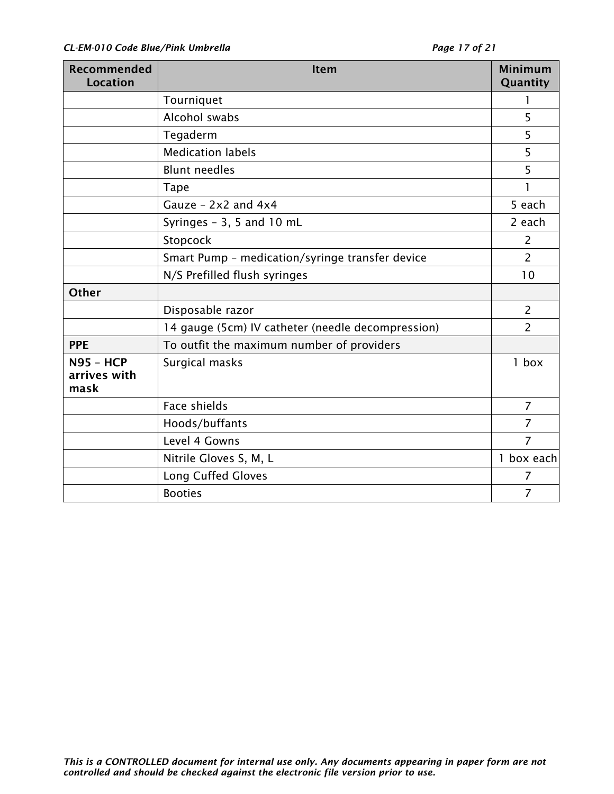| Recommended<br><b>Location</b>           | Item                                              | <b>Minimum</b><br>Quantity |
|------------------------------------------|---------------------------------------------------|----------------------------|
|                                          | Tourniquet                                        | 1                          |
|                                          | Alcohol swabs                                     | 5                          |
|                                          | Tegaderm                                          | 5                          |
|                                          | <b>Medication labels</b>                          | 5                          |
|                                          | <b>Blunt needles</b>                              | 5                          |
|                                          | <b>Tape</b>                                       | 1                          |
|                                          | Gauze - $2x2$ and $4x4$                           | 5 each                     |
|                                          | Syringes - 3, 5 and 10 mL                         | 2 each                     |
|                                          | Stopcock                                          | 2                          |
|                                          | Smart Pump - medication/syringe transfer device   | $\overline{2}$             |
|                                          | N/S Prefilled flush syringes                      | 10                         |
| <b>Other</b>                             |                                                   |                            |
|                                          | Disposable razor                                  | $\overline{2}$             |
|                                          | 14 gauge (5cm) IV catheter (needle decompression) | $\overline{2}$             |
| <b>PPE</b>                               | To outfit the maximum number of providers         |                            |
| <b>N95 - HCP</b><br>arrives with<br>mask | Surgical masks                                    | $1$ box                    |
|                                          | Face shields                                      | $\overline{7}$             |
|                                          | Hoods/buffants                                    | $\overline{7}$             |
|                                          | Level 4 Gowns                                     | $\overline{7}$             |
|                                          | Nitrile Gloves S, M, L                            | 1 box each                 |
|                                          | <b>Long Cuffed Gloves</b>                         | 7                          |
|                                          | <b>Booties</b>                                    | 7                          |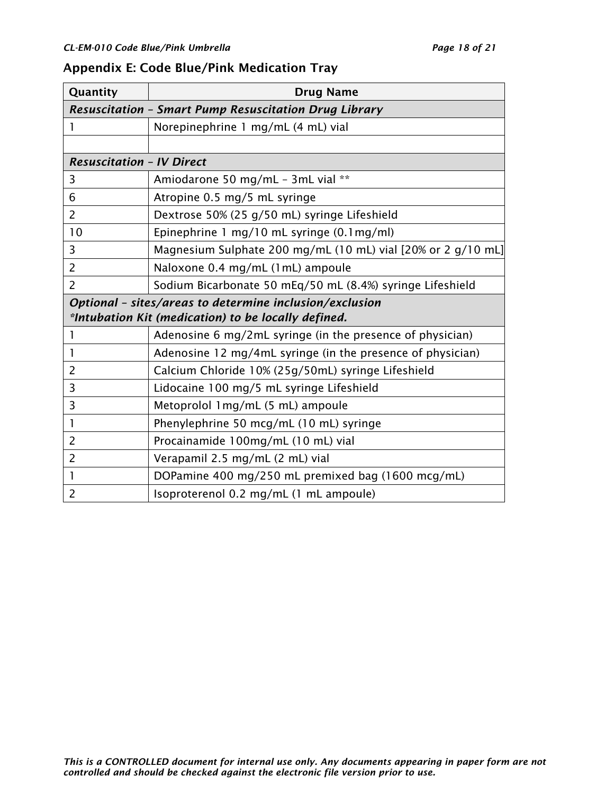# <span id="page-17-0"></span>Appendix E: Code Blue/Pink Medication Tray

| Quantity                                                     | <b>Drug Name</b>                                             |  |  |  |
|--------------------------------------------------------------|--------------------------------------------------------------|--|--|--|
| <b>Resuscitation - Smart Pump Resuscitation Drug Library</b> |                                                              |  |  |  |
| 1                                                            | Norepinephrine 1 mg/mL (4 mL) vial                           |  |  |  |
|                                                              |                                                              |  |  |  |
| <b>Resuscitation - IV Direct</b>                             |                                                              |  |  |  |
| 3                                                            | Amiodarone 50 mg/mL - 3mL vial **                            |  |  |  |
| 6                                                            | Atropine 0.5 mg/5 mL syringe                                 |  |  |  |
| $\overline{2}$                                               | Dextrose 50% (25 g/50 mL) syringe Lifeshield                 |  |  |  |
| 10                                                           | Epinephrine 1 mg/10 mL syringe (0.1mg/ml)                    |  |  |  |
| 3                                                            | Magnesium Sulphate 200 mg/mL (10 mL) vial [20% or 2 g/10 mL] |  |  |  |
| $\overline{2}$                                               | Naloxone 0.4 mg/mL (1mL) ampoule                             |  |  |  |
| $\overline{2}$                                               | Sodium Bicarbonate 50 mEq/50 mL (8.4%) syringe Lifeshield    |  |  |  |
| Optional - sites/areas to determine inclusion/exclusion      |                                                              |  |  |  |
| *Intubation Kit (medication) to be locally defined.          |                                                              |  |  |  |
|                                                              | Adenosine 6 mg/2mL syringe (in the presence of physician)    |  |  |  |
| 1                                                            | Adenosine 12 mg/4mL syringe (in the presence of physician)   |  |  |  |
| $\overline{2}$                                               | Calcium Chloride 10% (25g/50mL) syringe Lifeshield           |  |  |  |
| 3                                                            | Lidocaine 100 mg/5 mL syringe Lifeshield                     |  |  |  |
| 3                                                            | Metoprolol 1 mg/mL (5 mL) ampoule                            |  |  |  |
| 1                                                            | Phenylephrine 50 mcg/mL (10 mL) syringe                      |  |  |  |
| $\overline{2}$                                               | Procainamide 100mg/mL (10 mL) vial                           |  |  |  |
| 2                                                            | Verapamil 2.5 mg/mL (2 mL) vial                              |  |  |  |
| 1                                                            | DOPamine 400 mg/250 mL premixed bag (1600 mcg/mL)            |  |  |  |
| $\overline{2}$                                               | Isoproterenol 0.2 mg/mL (1 mL ampoule)                       |  |  |  |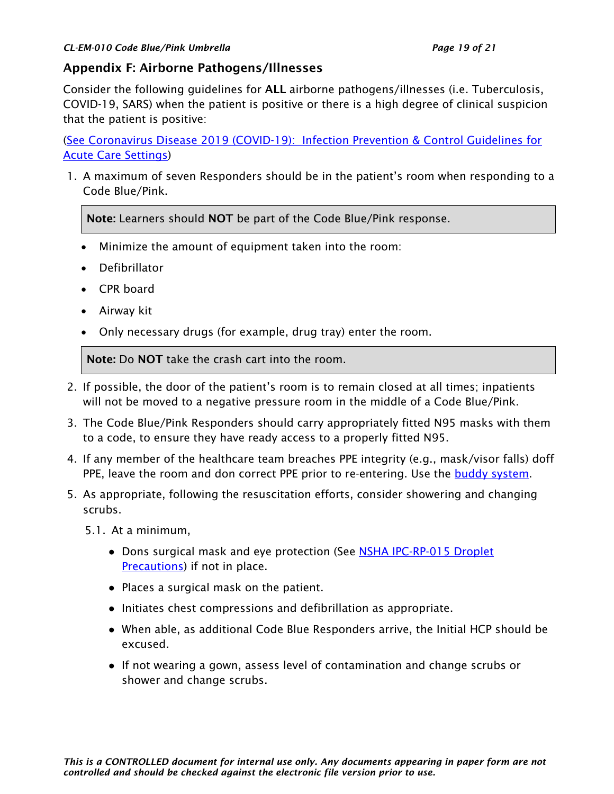### <span id="page-18-0"></span>Appendix F: Airborne Pathogens/Illnesses

Consider the following guidelines for ALL airborne pathogens/illnesses (i.e. Tuberculosis, COVID-19, SARS) when the patient is positive or there is a high degree of clinical suspicion that the patient is positive:

[\(See Coronavirus Disease 2019 \(COVID-19\): Infection Prevention & Control Guidelines for](http://policy.nshealth.ca/Site_Published/covid19/document_render.aspx?documentRender.IdType=6&documentRender.GenericField=&documentRender.Id=84510)  [Acute Care Settings\)](http://policy.nshealth.ca/Site_Published/covid19/document_render.aspx?documentRender.IdType=6&documentRender.GenericField=&documentRender.Id=84510)

1. A maximum of seven Responders should be in the patient's room when responding to a Code Blue/Pink.

Note: Learners should NOT be part of the Code Blue/Pink response.

- Minimize the amount of equipment taken into the room:
- Defibrillator
- CPR board
- Airway kit
- Only necessary drugs (for example, drug tray) enter the room.

Note: Do NOT take the crash cart into the room.

- 2. If possible, the door of the patient's room is to remain closed at all times; inpatients will not be moved to a negative pressure room in the middle of a Code Blue/Pink.
- 3. The Code Blue/Pink Responders should carry appropriately fitted N95 masks with them to a code, to ensure they have ready access to a properly fitted N95.
- 4. If any member of the healthcare team breaches PPE integrity (e.g., mask/visor falls) doff PPE, leave the room and don correct PPE prior to re-entering. Use the **buddy system**.
- 5. As appropriate, following the resuscitation efforts, consider showering and changing scrubs.

5.1. At a minimum,

- Dons surgical mask and eye protection (See NSHA IPC-RP-015 Droplet **Precautions**) if not in place.
- Places a surgical mask on the patient.
- Initiates chest compressions and defibrillation as appropriate.
- When able, as additional Code Blue Responders arrive, the Initial HCP should be excused.
- If not wearing a gown, assess level of contamination and change scrubs or shower and change scrubs.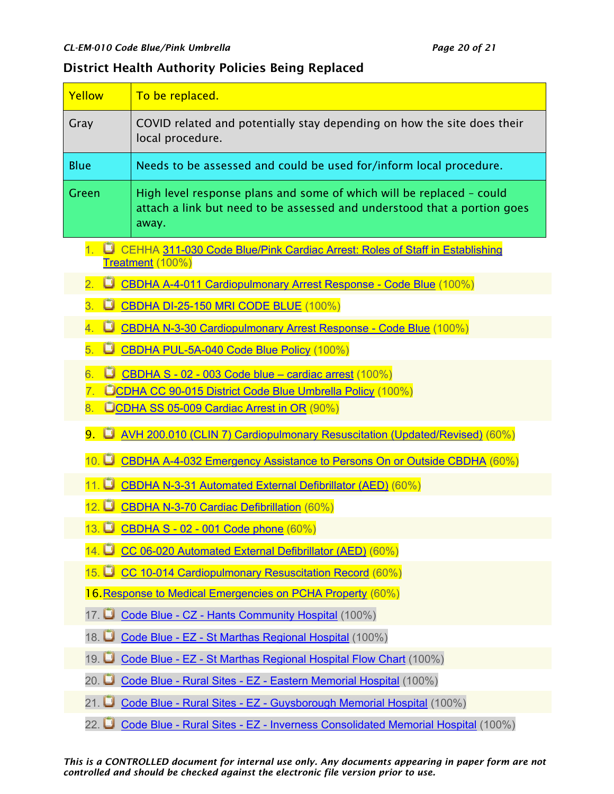### <span id="page-19-0"></span>District Health Authority Policies Being Replaced

| Yellow                                                                                                                                                                                          | To be replaced.                                                                                                                                           |  |  |  |  |
|-------------------------------------------------------------------------------------------------------------------------------------------------------------------------------------------------|-----------------------------------------------------------------------------------------------------------------------------------------------------------|--|--|--|--|
| Gray                                                                                                                                                                                            | COVID related and potentially stay depending on how the site does their<br>local procedure.                                                               |  |  |  |  |
| <b>Blue</b>                                                                                                                                                                                     | Needs to be assessed and could be used for/inform local procedure.                                                                                        |  |  |  |  |
| Green                                                                                                                                                                                           | High level response plans and some of which will be replaced - could<br>attach a link but need to be assessed and understood that a portion goes<br>away. |  |  |  |  |
| 1. D<br>CEHHA 311-030 Code Blue/Pink Cardiac Arrest: Roles of Staff in Establishing<br>Treatment (100%)                                                                                         |                                                                                                                                                           |  |  |  |  |
| 2. O                                                                                                                                                                                            | CBDHA A-4-011 Cardiopulmonary Arrest Response - Code Blue (100%)                                                                                          |  |  |  |  |
| 3.<br>O<br><b>CBDHA DI-25-150 MRI CODE BLUE (100%)</b>                                                                                                                                          |                                                                                                                                                           |  |  |  |  |
| CBDHA N-3-30 Cardiopulmonary Arrest Response - Code Blue (100%)<br>4.<br>О                                                                                                                      |                                                                                                                                                           |  |  |  |  |
| 5.<br>O                                                                                                                                                                                         | CBDHA PUL-5A-040 Code Blue Policy (100%)                                                                                                                  |  |  |  |  |
| CBDHA S - 02 - 003 Code blue - cardiac arrest (100%)<br>6.<br>$\overline{7}$ .<br>UCDHA CC 90-015 District Code Blue Umbrella Policy (100%)<br>UCDHA SS 05-009 Cardiac Arrest in OR (90%)<br>8. |                                                                                                                                                           |  |  |  |  |
| 9. U<br>AVH 200.010 (CLIN 7) Cardiopulmonary Resuscitation (Updated/Revised) (60%)                                                                                                              |                                                                                                                                                           |  |  |  |  |
| $10.$ $\Box$<br>CBDHA A-4-032 Emergency Assistance to Persons On or Outside CBDHA (60%)                                                                                                         |                                                                                                                                                           |  |  |  |  |
| $11.$ $\Box$<br>CBDHA N-3-31 Automated External Defibrillator (AED) (60%)                                                                                                                       |                                                                                                                                                           |  |  |  |  |
| $12.$ $\Box$<br><b>CBDHA N-3-70 Cardiac Defibrillation (60%)</b>                                                                                                                                |                                                                                                                                                           |  |  |  |  |
| 13. $\blacksquare$<br>CBDHA S - 02 - 001 Code phone (60%)                                                                                                                                       |                                                                                                                                                           |  |  |  |  |
| 14. $\Box$<br>CC 06-020 Automated External Defibrillator (AED) (60%)                                                                                                                            |                                                                                                                                                           |  |  |  |  |
| CC 10-014 Cardiopulmonary Resuscitation Record (60%)<br>$15.$ $\Box$                                                                                                                            |                                                                                                                                                           |  |  |  |  |
| 16. Response to Medical Emergencies on PCHA Property (60%)                                                                                                                                      |                                                                                                                                                           |  |  |  |  |
| 17.<br>Code Blue - CZ - Hants Community Hospital (100%)                                                                                                                                         |                                                                                                                                                           |  |  |  |  |
| 18.                                                                                                                                                                                             | Code Blue - EZ - St Marthas Regional Hospital (100%)                                                                                                      |  |  |  |  |
| Code Blue - EZ - St Marthas Regional Hospital Flow Chart (100%)<br>19.                                                                                                                          |                                                                                                                                                           |  |  |  |  |
| 20. $\Box$                                                                                                                                                                                      | Code Blue - Rural Sites - EZ - Eastern Memorial Hospital (100%)                                                                                           |  |  |  |  |
| 21.                                                                                                                                                                                             | Code Blue - Rural Sites - EZ - Guysborough Memorial Hospital (100%)                                                                                       |  |  |  |  |
| Code Blue - Rural Sites - EZ - Inverness Consolidated Memorial Hospital (100%)<br>22. $\Box$                                                                                                    |                                                                                                                                                           |  |  |  |  |